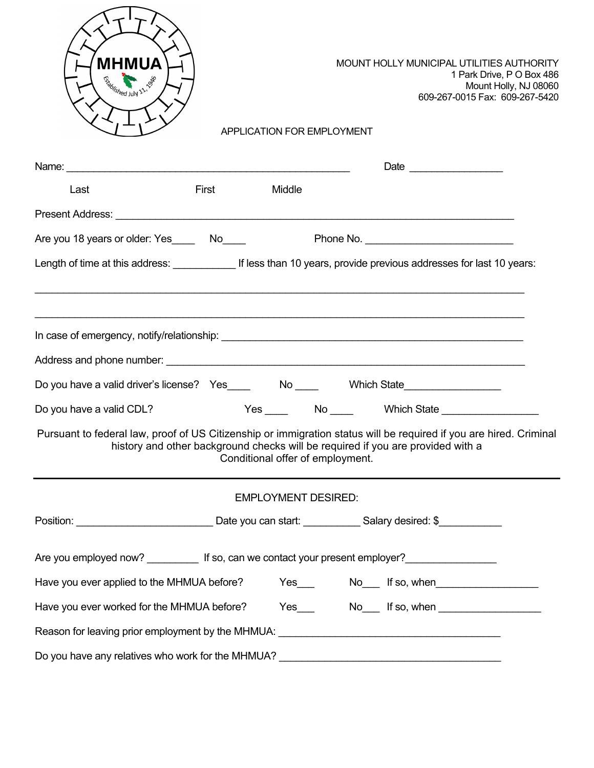

MOUNT HOLLY MUNICIPAL UTILITIES AUTHORITY 1 Park Drive, P O Box 486 Mount Holly, NJ 08060 609-267-0015 Fax: 609-267-5420

| Last                                                                                                               | First | Middle                           |                                                                                 |  |
|--------------------------------------------------------------------------------------------------------------------|-------|----------------------------------|---------------------------------------------------------------------------------|--|
|                                                                                                                    |       |                                  |                                                                                 |  |
| Are you 18 years or older: Yes ________ No_____                                                                    |       |                                  |                                                                                 |  |
|                                                                                                                    |       |                                  |                                                                                 |  |
|                                                                                                                    |       |                                  |                                                                                 |  |
|                                                                                                                    |       |                                  |                                                                                 |  |
|                                                                                                                    |       |                                  |                                                                                 |  |
| Do you have a valid driver's license? Yes____ No ___ Which State________________                                   |       |                                  |                                                                                 |  |
| Do you have a valid CDL?                                                                                           |       |                                  |                                                                                 |  |
| Pursuant to federal law, proof of US Citizenship or immigration status will be required if you are hired. Criminal |       | Conditional offer of employment. | history and other background checks will be required if you are provided with a |  |
|                                                                                                                    |       | <b>EMPLOYMENT DESIRED:</b>       |                                                                                 |  |
| Position: ______________________________Date you can start: ____________Salary desired: \$___________              |       |                                  |                                                                                 |  |
| Are you employed now? ____________ If so, can we contact your present employer? ___________________                |       |                                  |                                                                                 |  |
| Have you ever applied to the MHMUA before? Yes___________________________________                                  |       |                                  |                                                                                 |  |
| Have you ever worked for the MHMUA before? Yes___ No__ If so, when No___ 15 so, when                               |       |                                  |                                                                                 |  |
| Reason for leaving prior employment by the MHMUA: _______________________________                                  |       |                                  |                                                                                 |  |
| Do you have any relatives who work for the MHMUA?                                                                  |       |                                  |                                                                                 |  |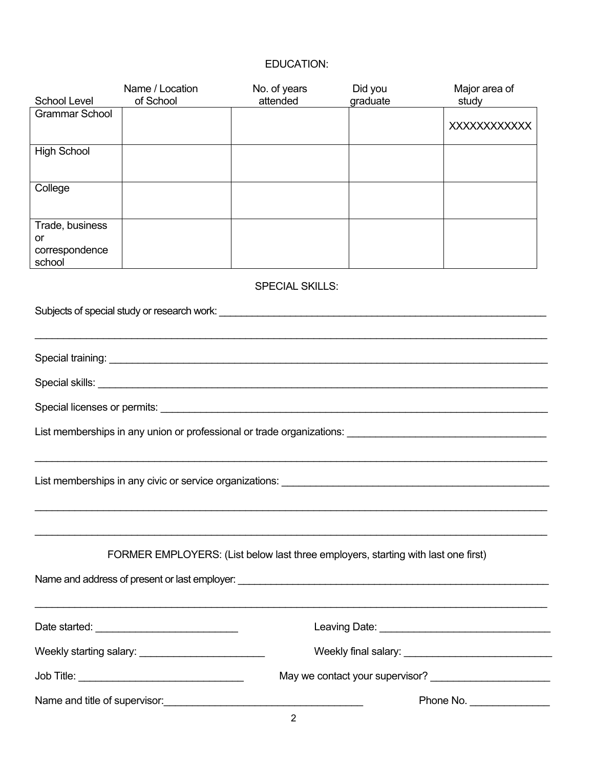# EDUCATION:

| School Level                                      | Name / Location<br>of School                                                      | No. of years<br>attended | Did you<br>graduate | Major area of<br>study      |
|---------------------------------------------------|-----------------------------------------------------------------------------------|--------------------------|---------------------|-----------------------------|
| <b>Grammar School</b>                             |                                                                                   |                          |                     | <b>XXXXXXXXXXXX</b>         |
| <b>High School</b>                                |                                                                                   |                          |                     |                             |
| College                                           |                                                                                   |                          |                     |                             |
| Trade, business<br>or<br>correspondence<br>school |                                                                                   |                          |                     |                             |
|                                                   |                                                                                   | <b>SPECIAL SKILLS:</b>   |                     |                             |
|                                                   |                                                                                   |                          |                     |                             |
|                                                   |                                                                                   |                          |                     |                             |
|                                                   |                                                                                   |                          |                     |                             |
|                                                   |                                                                                   |                          |                     |                             |
|                                                   |                                                                                   |                          |                     |                             |
|                                                   |                                                                                   |                          |                     |                             |
|                                                   | FORMER EMPLOYERS: (List below last three employers, starting with last one first) |                          |                     |                             |
|                                                   |                                                                                   |                          |                     |                             |
|                                                   |                                                                                   |                          |                     |                             |
|                                                   |                                                                                   |                          |                     |                             |
|                                                   |                                                                                   |                          |                     |                             |
|                                                   |                                                                                   |                          |                     | Phone No. _________________ |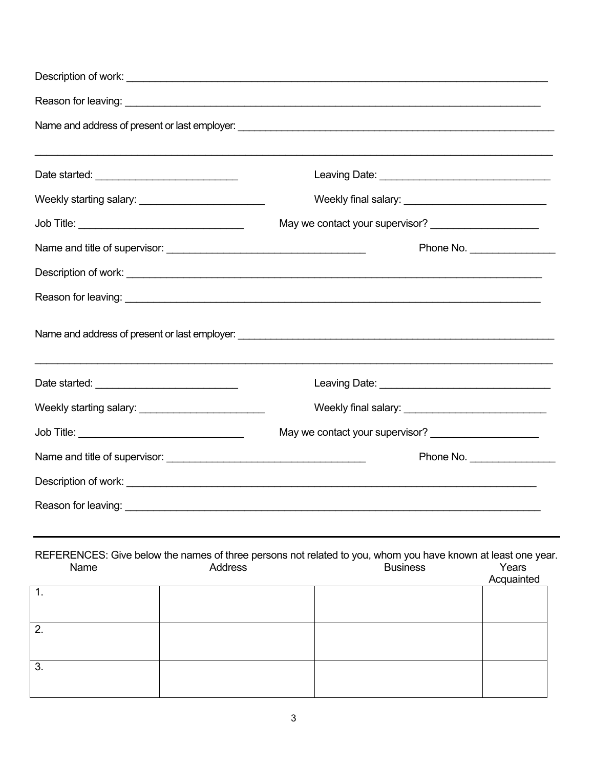|                                                                                                                      |                                                                  | May we contact your supervisor? _______________________ |                                |  |  |  |
|----------------------------------------------------------------------------------------------------------------------|------------------------------------------------------------------|---------------------------------------------------------|--------------------------------|--|--|--|
|                                                                                                                      |                                                                  |                                                         | Phone No. ____________________ |  |  |  |
|                                                                                                                      |                                                                  |                                                         |                                |  |  |  |
|                                                                                                                      |                                                                  |                                                         |                                |  |  |  |
|                                                                                                                      |                                                                  |                                                         |                                |  |  |  |
|                                                                                                                      |                                                                  |                                                         |                                |  |  |  |
| Weekly starting salary: ___________________________                                                                  |                                                                  |                                                         |                                |  |  |  |
|                                                                                                                      |                                                                  | May we contact your supervisor? _______________________ |                                |  |  |  |
|                                                                                                                      |                                                                  | Phone No.                                               |                                |  |  |  |
|                                                                                                                      |                                                                  |                                                         |                                |  |  |  |
| Reason for leaving:                                                                                                  | <u> 1989 - Johann Barbara, markazi bashkar mashrida ma'lumot</u> |                                                         |                                |  |  |  |
| REFERENCES: Give below the names of three persons not related to you, whom you have known at least one year.<br>Name | <b>Address</b>                                                   | <b>Business</b>                                         | Years<br>Acquainted            |  |  |  |
| $\overline{1}$ .                                                                                                     |                                                                  |                                                         |                                |  |  |  |
| $\overline{2}$ .                                                                                                     |                                                                  |                                                         |                                |  |  |  |
| 3.                                                                                                                   |                                                                  |                                                         |                                |  |  |  |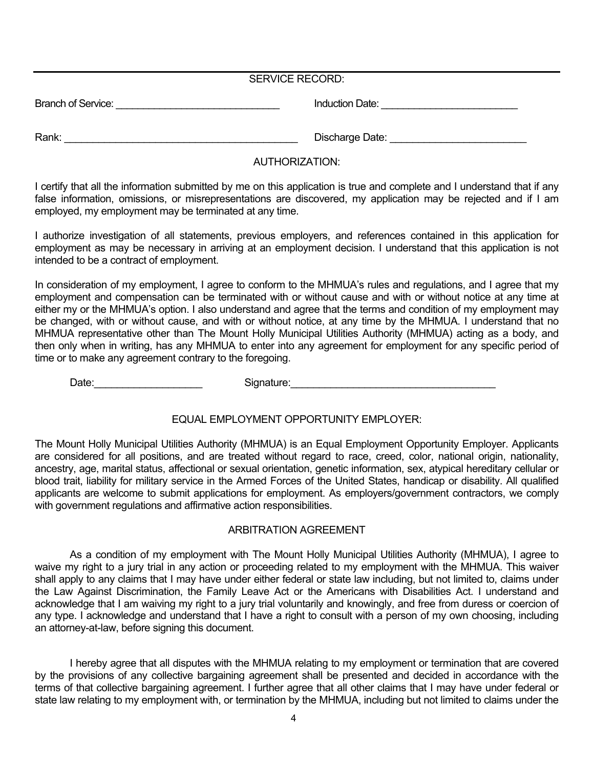|                           | <b>SERVICE RECORD:</b> |  |
|---------------------------|------------------------|--|
| <b>Branch of Service:</b> | Induction Date:        |  |
|                           |                        |  |

Rank: \_\_\_\_\_\_\_\_\_\_\_\_\_\_\_\_\_\_\_\_\_\_\_\_\_\_\_\_\_\_\_\_\_\_\_\_\_\_\_\_\_ Discharge Date: \_\_\_\_\_\_\_\_\_\_\_\_\_\_\_\_\_\_\_\_\_\_\_\_

## AUTHORIZATION:

I certify that all the information submitted by me on this application is true and complete and I understand that if any false information, omissions, or misrepresentations are discovered, my application may be rejected and if I am employed, my employment may be terminated at any time.

I authorize investigation of all statements, previous employers, and references contained in this application for employment as may be necessary in arriving at an employment decision. I understand that this application is not intended to be a contract of employment.

In consideration of my employment, I agree to conform to the MHMUA's rules and regulations, and I agree that my employment and compensation can be terminated with or without cause and with or without notice at any time at either my or the MHMUA's option. I also understand and agree that the terms and condition of my employment may be changed, with or without cause, and with or without notice, at any time by the MHMUA. I understand that no MHMUA representative other than The Mount Holly Municipal Utilities Authority (MHMUA) acting as a body, and then only when in writing, has any MHMUA to enter into any agreement for employment for any specific period of time or to make any agreement contrary to the foregoing.

Date: 2008. The Signature: 2008. Signature: 2008. The Supplement of Signature: 2008. The Supplement of Supplement of Supplement of Supplement of Supplement of Supplement of Supplement of Supplement of Supplement of Supplem

EQUAL EMPLOYMENT OPPORTUNITY EMPLOYER:

The Mount Holly Municipal Utilities Authority (MHMUA) is an Equal Employment Opportunity Employer. Applicants are considered for all positions, and are treated without regard to race, creed, color, national origin, nationality, ancestry, age, marital status, affectional or sexual orientation, genetic information, sex, atypical hereditary cellular or blood trait, liability for military service in the Armed Forces of the United States, handicap or disability. All qualified applicants are welcome to submit applications for employment. As employers/government contractors, we comply with government regulations and affirmative action responsibilities.

## ARBITRATION AGREEMENT

As a condition of my employment with The Mount Holly Municipal Utilities Authority (MHMUA), I agree to waive my right to a jury trial in any action or proceeding related to my employment with the MHMUA. This waiver shall apply to any claims that I may have under either federal or state law including, but not limited to, claims under the Law Against Discrimination, the Family Leave Act or the Americans with Disabilities Act. I understand and acknowledge that I am waiving my right to a jury trial voluntarily and knowingly, and free from duress or coercion of any type. I acknowledge and understand that I have a right to consult with a person of my own choosing, including an attorney-at-law, before signing this document.

I hereby agree that all disputes with the MHMUA relating to my employment or termination that are covered by the provisions of any collective bargaining agreement shall be presented and decided in accordance with the terms of that collective bargaining agreement. I further agree that all other claims that I may have under federal or state law relating to my employment with, or termination by the MHMUA, including but not limited to claims under the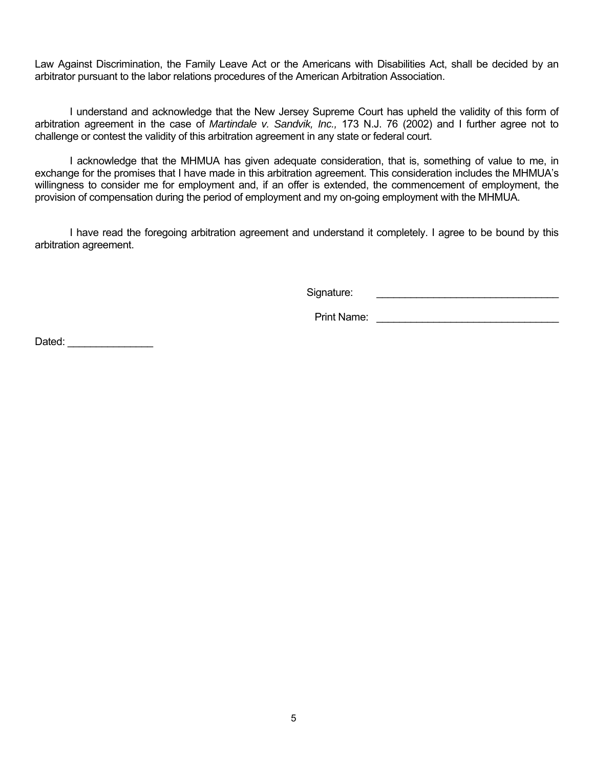Law Against Discrimination, the Family Leave Act or the Americans with Disabilities Act, shall be decided by an arbitrator pursuant to the labor relations procedures of the American Arbitration Association.

I understand and acknowledge that the New Jersey Supreme Court has upheld the validity of this form of arbitration agreement in the case of *Martindale v. Sandvik, Inc.,* 173 N.J. 76 (2002) and I further agree not to challenge or contest the validity of this arbitration agreement in any state or federal court.

I acknowledge that the MHMUA has given adequate consideration, that is, something of value to me, in exchange for the promises that I have made in this arbitration agreement. This consideration includes the MHMUA's willingness to consider me for employment and, if an offer is extended, the commencement of employment, the provision of compensation during the period of employment and my on-going employment with the MHMUA.

I have read the foregoing arbitration agreement and understand it completely. I agree to be bound by this arbitration agreement.

Signature: \_\_\_\_\_\_\_\_\_\_\_\_\_\_\_\_\_\_\_\_\_\_\_\_\_\_\_\_\_\_\_\_

Print Name: \_\_\_\_\_\_\_\_\_\_\_\_\_\_\_\_\_\_\_\_\_\_\_\_\_\_\_\_\_\_\_\_

Dated:  $\Box$